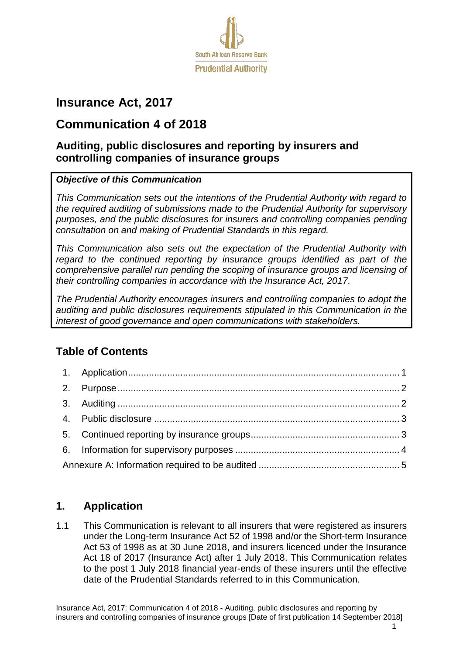

# **Insurance Act, 2017**

# **Communication 4 of 2018**

## **Auditing, public disclosures and reporting by insurers and controlling companies of insurance groups**

#### *Objective of this Communication*

*This Communication sets out the intentions of the Prudential Authority with regard to the required auditing of submissions made to the Prudential Authority for supervisory purposes, and the public disclosures for insurers and controlling companies pending consultation on and making of Prudential Standards in this regard.* 

*This Communication also sets out the expectation of the Prudential Authority with*  regard to the continued reporting by insurance groups identified as part of the *comprehensive parallel run pending the scoping of insurance groups and licensing of their controlling companies in accordance with the Insurance Act, 2017.* 

*The Prudential Authority encourages insurers and controlling companies to adopt the auditing and public disclosures requirements stipulated in this Communication in the interest of good governance and open communications with stakeholders.* 

# **Table of Contents**

### <span id="page-0-0"></span>**1. Application**

1.1 This Communication is relevant to all insurers that were registered as insurers under the Long-term Insurance Act 52 of 1998 and/or the Short-term Insurance Act 53 of 1998 as at 30 June 2018, and insurers licenced under the Insurance Act 18 of 2017 (Insurance Act) after 1 July 2018. This Communication relates to the post 1 July 2018 financial year-ends of these insurers until the effective date of the Prudential Standards referred to in this Communication.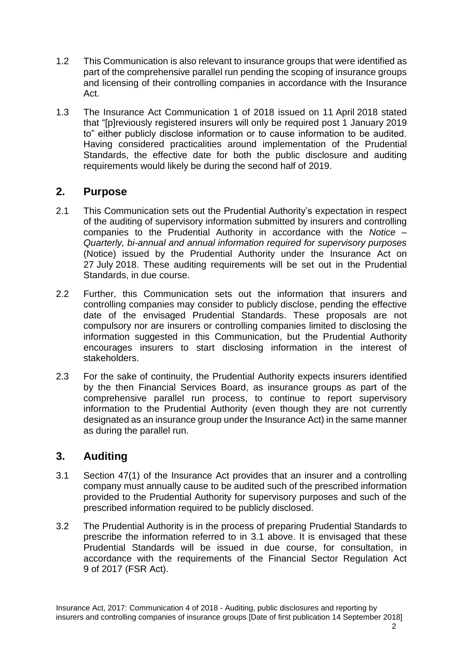- 1.2 This Communication is also relevant to insurance groups that were identified as part of the comprehensive parallel run pending the scoping of insurance groups and licensing of their controlling companies in accordance with the Insurance Act.
- 1.3 The Insurance Act Communication 1 of 2018 issued on 11 April 2018 stated that "[p]reviously registered insurers will only be required post 1 January 2019 to" either publicly disclose information or to cause information to be audited. Having considered practicalities around implementation of the Prudential Standards, the effective date for both the public disclosure and auditing requirements would likely be during the second half of 2019.

#### <span id="page-1-0"></span>**2. Purpose**

- 2.1 This Communication sets out the Prudential Authority's expectation in respect of the auditing of supervisory information submitted by insurers and controlling companies to the Prudential Authority in accordance with the *Notice – Quarterly, bi-annual and annual information required for supervisory purposes*  (Notice) issued by the Prudential Authority under the Insurance Act on 27 July 2018. These auditing requirements will be set out in the Prudential Standards, in due course.
- 2.2 Further, this Communication sets out the information that insurers and controlling companies may consider to publicly disclose, pending the effective date of the envisaged Prudential Standards. These proposals are not compulsory nor are insurers or controlling companies limited to disclosing the information suggested in this Communication, but the Prudential Authority encourages insurers to start disclosing information in the interest of stakeholders.
- 2.3 For the sake of continuity, the Prudential Authority expects insurers identified by the then Financial Services Board, as insurance groups as part of the comprehensive parallel run process, to continue to report supervisory information to the Prudential Authority (even though they are not currently designated as an insurance group under the Insurance Act) in the same manner as during the parallel run.

### <span id="page-1-1"></span>**3. Auditing**

- <span id="page-1-2"></span>3.1 Section 47(1) of the Insurance Act provides that an insurer and a controlling company must annually cause to be audited such of the prescribed information provided to the Prudential Authority for supervisory purposes and such of the prescribed information required to be publicly disclosed.
- <span id="page-1-3"></span>3.2 The Prudential Authority is in the process of preparing Prudential Standards to prescribe the information referred to in [3.1](#page-1-2) above. It is envisaged that these Prudential Standards will be issued in due course, for consultation, in accordance with the requirements of the Financial Sector Regulation Act 9 of 2017 (FSR Act).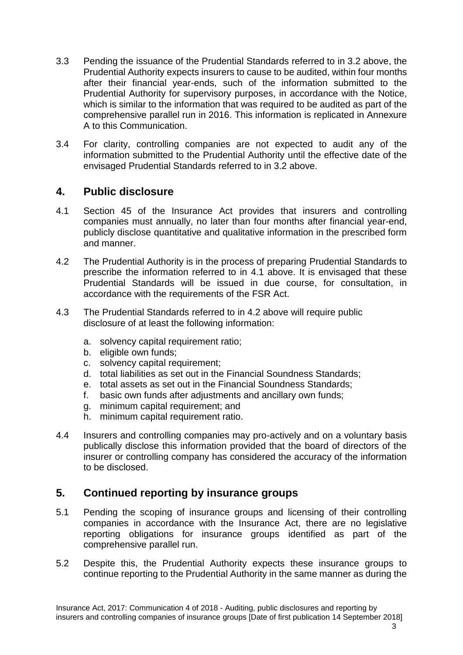- 3.3 Pending the issuance of the Prudential Standards referred to in [3.2](#page-1-3) above, the Prudential Authority expects insurers to cause to be audited, within four months after their financial year-ends, such of the information submitted to the Prudential Authority for supervisory purposes, in accordance with the Notice, which is similar to the information that was required to be audited as part of the comprehensive parallel run in 2016. This information is replicated in Annexure A to this Communication.
- 3.4 For clarity, controlling companies are not expected to audit any of the information submitted to the Prudential Authority until the effective date of the envisaged Prudential Standards referred to in [3.2](#page-1-3) above.

#### <span id="page-2-0"></span>**4. Public disclosure**

- <span id="page-2-2"></span>4.1 Section 45 of the Insurance Act provides that insurers and controlling companies must annually, no later than four months after financial year-end, publicly disclose quantitative and qualitative information in the prescribed form and manner.
- <span id="page-2-3"></span>4.2 The Prudential Authority is in the process of preparing Prudential Standards to prescribe the information referred to in [4.1](#page-2-2) above. It is envisaged that these Prudential Standards will be issued in due course, for consultation, in accordance with the requirements of the FSR Act.
- 4.3 The Prudential Standards referred to in [4.2](#page-2-3) above will require public disclosure of at least the following information:
	- a. solvency capital requirement ratio;
	- b. eligible own funds;
	- c. solvency capital requirement;
	- d. total liabilities as set out in the Financial Soundness Standards;
	- e. total assets as set out in the Financial Soundness Standards;
	- f. basic own funds after adjustments and ancillary own funds;
	- g. minimum capital requirement; and
	- h. minimum capital requirement ratio.
- 4.4 Insurers and controlling companies may pro-actively and on a voluntary basis publically disclose this information provided that the board of directors of the insurer or controlling company has considered the accuracy of the information to be disclosed.

### <span id="page-2-1"></span>**5. Continued reporting by insurance groups**

- 5.1 Pending the scoping of insurance groups and licensing of their controlling companies in accordance with the Insurance Act, there are no legislative reporting obligations for insurance groups identified as part of the comprehensive parallel run.
- <span id="page-2-4"></span>5.2 Despite this, the Prudential Authority expects these insurance groups to continue reporting to the Prudential Authority in the same manner as during the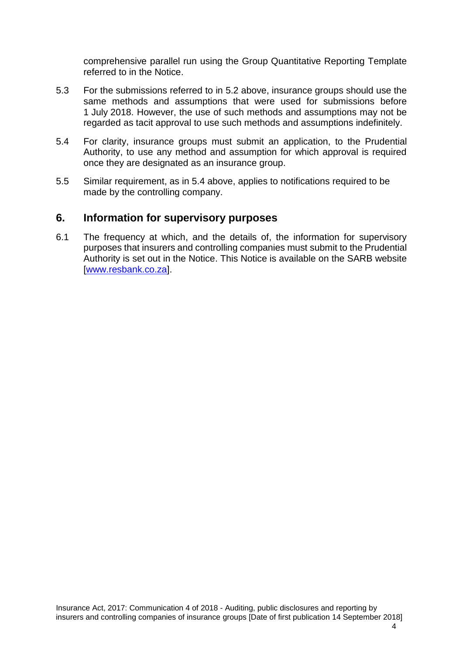comprehensive parallel run using the Group Quantitative Reporting Template referred to in the Notice.

- 5.3 For the submissions referred to in [5.2](#page-2-4) above, insurance groups should use the same methods and assumptions that were used for submissions before 1 July 2018. However, the use of such methods and assumptions may not be regarded as tacit approval to use such methods and assumptions indefinitely.
- 5.4 For clarity, insurance groups must submit an application, to the Prudential Authority, to use any method and assumption for which approval is required once they are designated as an insurance group.
- 5.5 Similar requirement, as in 5.4 above, applies to notifications required to be made by the controlling company.

#### <span id="page-3-0"></span>**6. Information for supervisory purposes**

6.1 The frequency at which, and the details of, the information for supervisory purposes that insurers and controlling companies must submit to the Prudential Authority is set out in the Notice. This Notice is available on the SARB website [\[www.resbank.co.za\]](https://www.resbank.co.za/PrudentialAuthority/Insurers/Post%20Insurance%20Act/Legislation%20and%20Regulatory%20instruments/Pages/Insurance-Act.aspx).